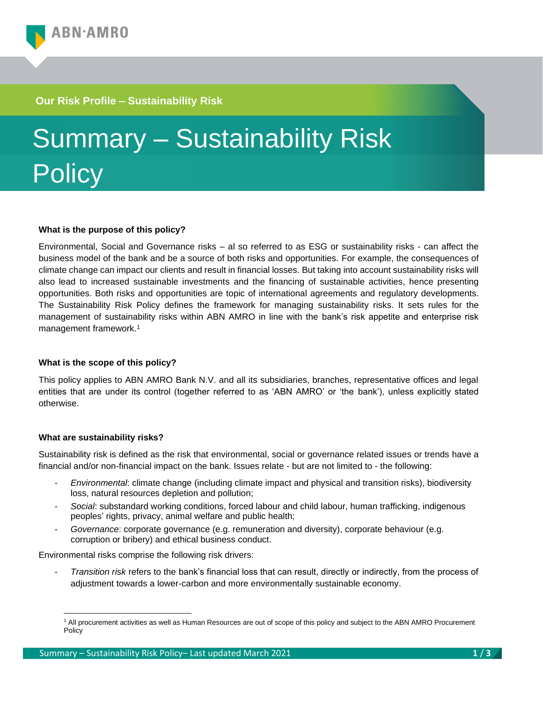

# **Our Risk Profile – Sustainability Risk**

# Summary – Sustainability Risk **Policy**

## **What is the purpose of this policy?**

Environmental, Social and Governance risks – al so referred to as ESG or sustainability risks - can affect the business model of the bank and be a source of both risks and opportunities. For example, the consequences of climate change can impact our clients and result in financial losses. But taking into account sustainability risks will also lead to increased sustainable investments and the financing of sustainable activities, hence presenting opportunities. Both risks and opportunities are topic of international agreements and regulatory developments. The Sustainability Risk Policy defines the framework for managing sustainability risks. It sets rules for the management of sustainability risks within ABN AMRO in line with the bank's risk appetite and enterprise risk management framework.<sup>1</sup>

#### **What is the scope of this policy?**

This policy applies to ABN AMRO Bank N.V. and all its subsidiaries, branches, representative offices and legal entities that are under its control (together referred to as 'ABN AMRO' or 'the bank'), unless explicitly stated otherwise.

#### **What are sustainability risks?**

Sustainability risk is defined as the risk that environmental, social or governance related issues or trends have a financial and/or non-financial impact on the bank. Issues relate - but are not limited to - the following:

- *Environmental*: climate change (including climate impact and physical and transition risks), biodiversity loss, natural resources depletion and pollution;
- *Social*: substandard working conditions, forced labour and child labour, human trafficking, indigenous peoples' rights, privacy, animal welfare and public health;
- *Governance*: corporate governance (e.g. remuneration and diversity), corporate behaviour (e.g. corruption or bribery) and ethical business conduct.

Environmental risks comprise the following risk drivers:

- *Transition risk* refers to the bank's financial loss that can result, directly or indirectly, from the process of adjustment towards a lower-carbon and more environmentally sustainable economy.

<sup>1</sup> All procurement activities as well as Human Resources are out of scope of this policy and subject to the ABN AMRO Procurement Policy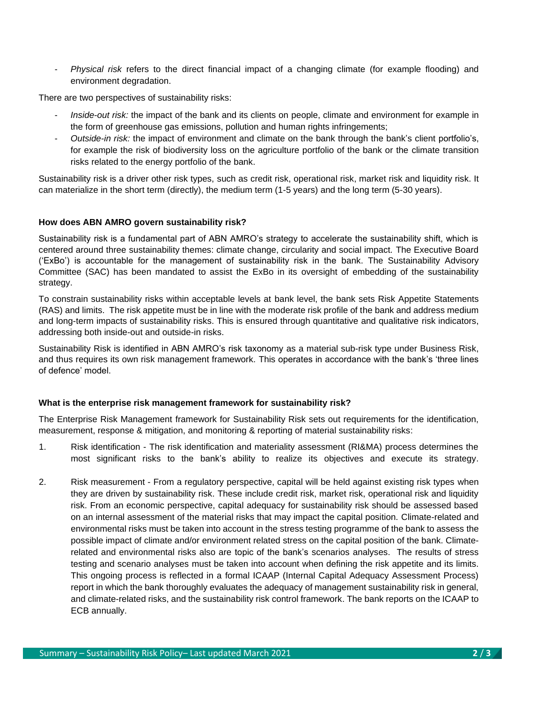- *Physical risk* refers to the direct financial impact of a changing climate (for example flooding) and environment degradation.

There are two perspectives of sustainability risks:

- *Inside-out risk:* the impact of the bank and its clients on people, climate and environment for example in the form of greenhouse gas emissions, pollution and human rights infringements;
- *Outside-in risk:* the impact of environment and climate on the bank through the bank's client portfolio's, for example the risk of biodiversity loss on the agriculture portfolio of the bank or the climate transition risks related to the energy portfolio of the bank.

Sustainability risk is a driver other risk types, such as credit risk, operational risk, market risk and liquidity risk. It can materialize in the short term (directly), the medium term (1-5 years) and the long term (5-30 years).

## **How does ABN AMRO govern sustainability risk?**

Sustainability risk is a fundamental part of ABN AMRO's strategy to accelerate the sustainability shift, which is centered around three sustainability themes: climate change, circularity and social impact. The Executive Board ('ExBo') is accountable for the management of sustainability risk in the bank. The Sustainability Advisory Committee (SAC) has been mandated to assist the ExBo in its oversight of embedding of the sustainability strategy.

To constrain sustainability risks within acceptable levels at bank level, the bank sets Risk Appetite Statements (RAS) and limits. The risk appetite must be in line with the moderate risk profile of the bank and address medium and long-term impacts of sustainability risks. This is ensured through quantitative and qualitative risk indicators, addressing both inside-out and outside-in risks.

Sustainability Risk is identified in ABN AMRO's risk taxonomy as a material sub-risk type under Business Risk, and thus requires its own risk management framework. This operates in accordance with the bank's 'three lines of defence' model.

#### **What is the enterprise risk management framework for sustainability risk?**

The Enterprise Risk Management framework for Sustainability Risk sets out requirements for the identification, measurement, response & mitigation, and monitoring & reporting of material sustainability risks:

- 1. Risk identification The risk identification and materiality assessment (RI&MA) process determines the most significant risks to the bank's ability to realize its objectives and execute its strategy.
- 2. Risk measurement From a regulatory perspective, capital will be held against existing risk types when they are driven by sustainability risk. These include credit risk, market risk, operational risk and liquidity risk. From an economic perspective, capital adequacy for sustainability risk should be assessed based on an internal assessment of the material risks that may impact the capital position. Climate-related and environmental risks must be taken into account in the stress testing programme of the bank to assess the possible impact of climate and/or environment related stress on the capital position of the bank. Climaterelated and environmental risks also are topic of the bank's scenarios analyses. The results of stress testing and scenario analyses must be taken into account when defining the risk appetite and its limits. This ongoing process is reflected in a formal ICAAP (Internal Capital Adequacy Assessment Process) report in which the bank thoroughly evaluates the adequacy of management sustainability risk in general, and climate-related risks, and the sustainability risk control framework. The bank reports on the ICAAP to ECB annually.